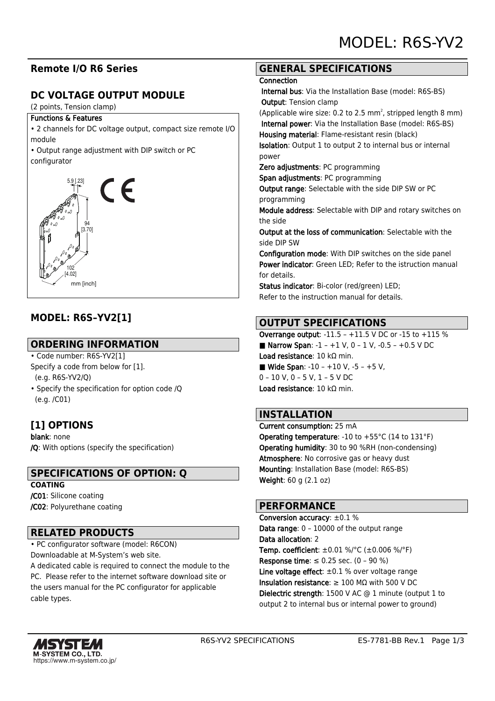## **Remote I/O R6 Series**

# **DC VOLTAGE OUTPUT MODULE**

(2 points, Tension clamp)

#### Functions & Features

• 2 channels for DC voltage output, compact size remote I/O module

• Output range adjustment with DIP switch or PC configurator



# **MODEL: R6S–YV2[1]**

#### **ORDERING INFORMATION**

- Code number: R6S-YV2[1] Specify a code from below for [1]. (e.g. R6S-YV2/Q)
- Specify the specification for option code /Q (e.g. /C01)

# **[1] OPTIONS**

blank: none /Q: With options (specify the specification)

#### **SPECIFICATIONS OF OPTION: Q**

**COATING** /C01: Silicone coating /C02: Polyurethane coating

#### **RELATED PRODUCTS**

• PC configurator software (model: R6CON) Downloadable at M-System's web site.

A dedicated cable is required to connect the module to the PC. Please refer to the internet software download site or the users manual for the PC configurator for applicable cable types.

#### **GENERAL SPECIFICATIONS**

#### **Connection**

 Internal bus: Via the Installation Base (model: R6S-BS) Output: Tension clamp

(Applicable wire size: 0.2 to 2.5  $mm<sup>2</sup>$ , stripped length 8  $mm$ ) Internal power: Via the Installation Base (model: R6S-BS) Housing material: Flame-resistant resin (black)

Isolation: Output 1 to output 2 to internal bus or internal power

Zero adjustments: PC programming

Span adjustments: PC programming

Output range: Selectable with the side DIP SW or PC programming

Module address: Selectable with DIP and rotary switches on the side

Output at the loss of communication: Selectable with the side DIP SW

Configuration mode: With DIP switches on the side panel Power indicator: Green LED; Refer to the istruction manual for details.

Status indicator: Bi-color (red/green) LED; Refer to the instruction manual for details.

## **OUTPUT SPECIFICATIONS**

Overrange output: -11.5 – +11.5 V DC or -15 to +115 % ■ Narrow Span:  $-1 - +1$  V, 0  $-1$  V,  $-0.5 - +0.5$  V DC Load resistance: 10 kΩ min. ■ Wide Span:  $-10 - +10$  V,  $-5 - +5$  V, 0 – 10 V, 0 – 5 V, 1 – 5 V DC Load resistance: 10 kΩ min.

#### **INSTALLATION**

Current consumption: 25 mA **Operating temperature: -10 to +55 °C (14 to 131 °F)** Operating humidity: 30 to 90 %RH (non-condensing) Atmosphere: No corrosive gas or heavy dust Mounting: Installation Base (model: R6S-BS) Weight: 60 g (2.1 oz)

#### **PERFORMANCE**

Conversion accuracy: ±0.1 % Data range: 0 – 10000 of the output range Data allocation: 2 **Temp. coefficient:**  $\pm 0.01$  %/°C ( $\pm 0.006$  %/°F) **Response time**: ≤ 0.25 sec. (0 - 90 %) Line voltage effect:  $\pm 0.1$  % over voltage range Insulation resistance: ≥ 100 MΩ with 500 V DC Dielectric strength: 1500 V AC @ 1 minute (output 1 to output 2 to internal bus or internal power to ground)

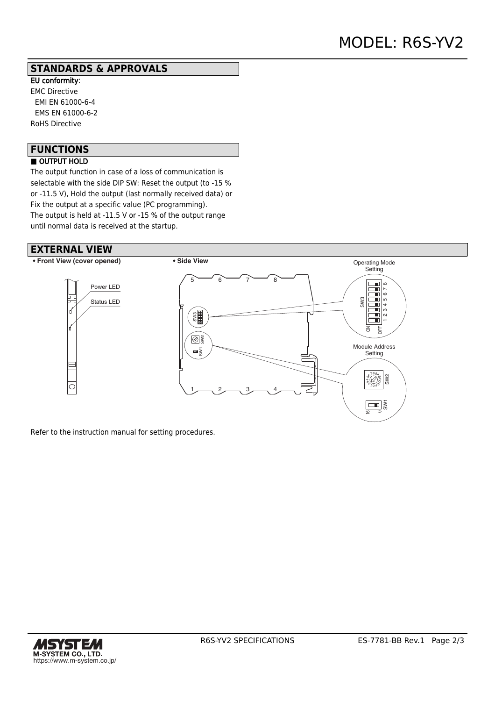#### **STANDARDS & APPROVALS**

EU conformity: EMC Directive EMI EN 61000-6-4 EMS EN 61000-6-2 RoHS Directive

# **FUNCTIONS**

## ■ OUTPUT HOLD

The output function in case of a loss of communication is selectable with the side DIP SW: Reset the output (to -15 % or -11.5 V), Hold the output (last normally received data) or Fix the output at a specific value (PC programming). The output is held at -11.5 V or -15 % of the output range until normal data is received at the startup.

#### **EXTERNAL VIEW**



Refer to the instruction manual for setting procedures.